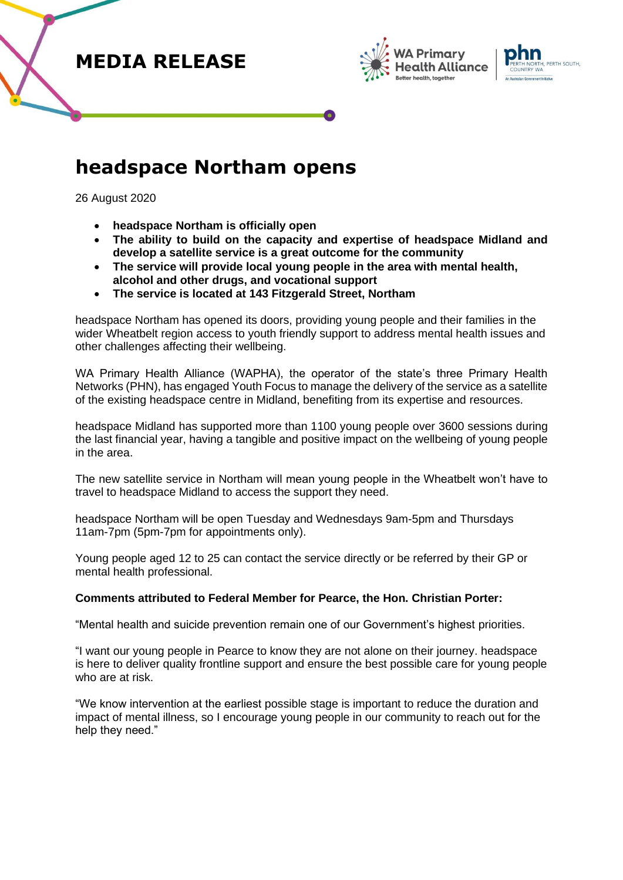





# **headspace Northam opens**

26 August 2020

- **headspace Northam is officially open**
- **The ability to build on the capacity and expertise of headspace Midland and develop a satellite service is a great outcome for the community**
- **The service will provide local young people in the area with mental health, alcohol and other drugs, and vocational support**
- **The service is located at 143 Fitzgerald Street, Northam**

headspace Northam has opened its doors, providing young people and their families in the wider Wheatbelt region access to youth friendly support to address mental health issues and other challenges affecting their wellbeing.

WA Primary Health Alliance (WAPHA), the operator of the state's three Primary Health Networks (PHN), has engaged Youth Focus to manage the delivery of the service as a satellite of the existing headspace centre in Midland, benefiting from its expertise and resources.

headspace Midland has supported more than 1100 young people over 3600 sessions during the last financial year, having a tangible and positive impact on the wellbeing of young people in the area.

The new satellite service in Northam will mean young people in the Wheatbelt won't have to travel to headspace Midland to access the support they need.

headspace Northam will be open Tuesday and Wednesdays 9am-5pm and Thursdays 11am-7pm (5pm-7pm for appointments only).

Young people aged 12 to 25 can contact the service directly or be referred by their GP or mental health professional.

## **Comments attributed to Federal Member for Pearce, the Hon. Christian Porter:**

"Mental health and suicide prevention remain one of our Government's highest priorities.

"I want our young people in Pearce to know they are not alone on their journey. headspace is here to deliver quality frontline support and ensure the best possible care for young people who are at risk.

"We know intervention at the earliest possible stage is important to reduce the duration and impact of mental illness, so I encourage young people in our community to reach out for the help they need."